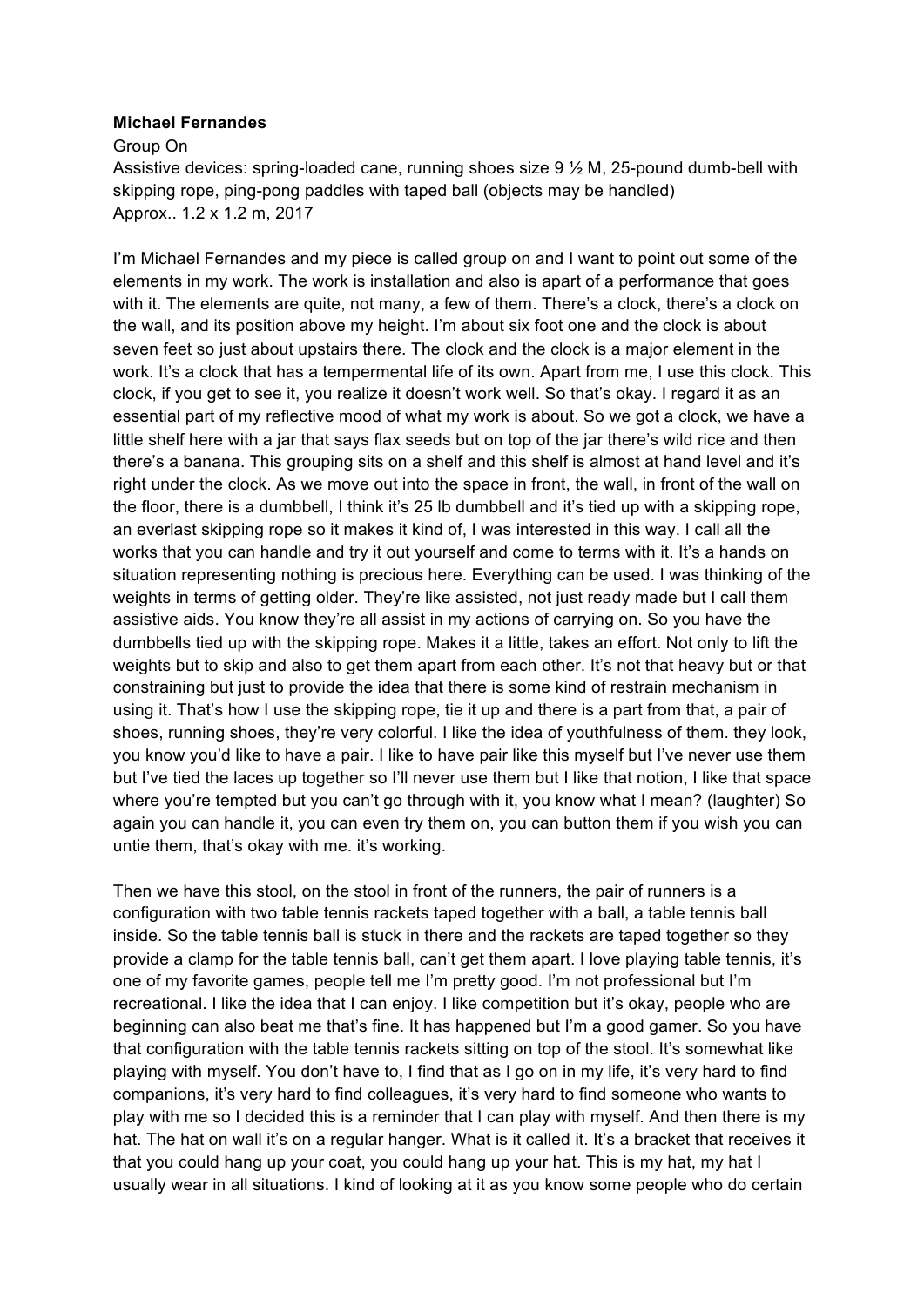## **Michael Fernandes**

Group On

 Assistive devices: spring-loaded cane, running shoes size 9 ½ M, 25-pound dumb-bell with skipping rope, ping-pong paddles with taped ball (objects may be handled) Approx.. 1.2 x 1.2 m, 2017

 elements in my work. The work is installation and also is apart of a performance that goes with it. The elements are quite, not many, a few of them. There's a clock, there's a clock on seven feet so just about upstairs there. The clock and the clock is a major element in the work. It's a clock that has a tempermental life of its own. Apart from me, I use this clock. This clock, if you get to see it, you realize it doesn't work well. So that's okay. I regard it as an essential part of my reflective mood of what my work is about. So we got a clock, we have a little shelf here with a jar that says flax seeds but on top of the jar there's wild rice and then right under the clock. As we move out into the space in front, the wall, in front of the wall on an everlast skipping rope so it makes it kind of, I was interested in this way. I call all the works that you can handle and try it out yourself and come to terms with it. It's a hands on situation representing nothing is precious here. Everything can be used. I was thinking of the weights in terms of getting older. They're like assisted, not just ready made but I call them assistive aids. You know they're all assist in my actions of carrying on. So you have the dumbbells tied up with the skipping rope. Makes it a little, takes an effort. Not only to lift the weights but to skip and also to get them apart from each other. It's not that heavy but or that constraining but just to provide the idea that there is some kind of restrain mechanism in using it. That's how I use the skipping rope, tie it up and there is a part from that, a pair of shoes, running shoes, they're very colorful. I like the idea of youthfulness of them. they look, you know you'd like to have a pair. I like to have pair like this myself but I've never use them but I've tied the laces up together so I'll never use them but I like that notion, I like that space where you're tempted but you can't go through with it, you know what I mean? (laughter) So again you can handle it, you can even try them on, you can button them if you wish you can untie them, that's okay with me. it's working. I'm Michael Fernandes and my piece is called group on and I want to point out some of the the wall, and its position above my height. I'm about six foot one and the clock is about there's a banana. This grouping sits on a shelf and this shelf is almost at hand level and it's the floor, there is a dumbbell, I think it's 25 lb dumbbell and it's tied up with a skipping rope,

 Then we have this stool, on the stool in front of the runners, the pair of runners is a configuration with two table tennis rackets taped together with a ball, a table tennis ball inside. So the table tennis ball is stuck in there and the rackets are taped together so they provide a clamp for the table tennis ball, can't get them apart. I love playing table tennis, it's one of my favorite games, people tell me I'm pretty good. I'm not professional but I'm recreational. I like the idea that I can enjoy. I like competition but it's okay, people who are beginning can also beat me that's fine. It has happened but I'm a good gamer. So you have playing with myself. You don't have to, I find that as I go on in my life, it's very hard to find companions, it's very hard to find colleagues, it's very hard to find someone who wants to play with me so I decided this is a reminder that I can play with myself. And then there is my hat. The hat on wall it's on a regular hanger. What is it called it. It's a bracket that receives it usually wear in all situations. I kind of looking at it as you know some people who do certain that configuration with the table tennis rackets sitting on top of the stool. It's somewhat like that you could hang up your coat, you could hang up your hat. This is my hat, my hat I